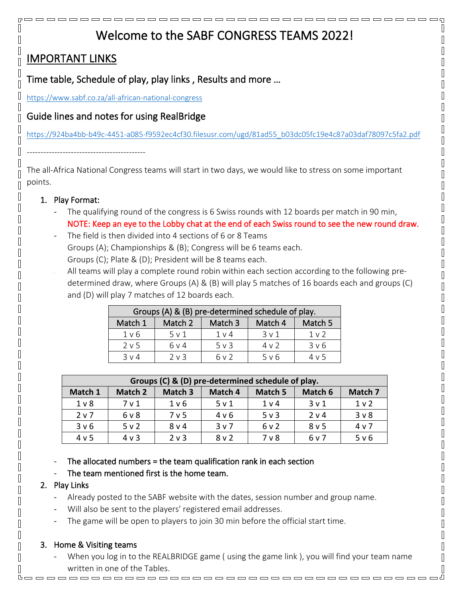# Welcome to the SABF CONGRESS TEAMS 2022!

# IMPORTANT LINKS

 $\Box$  $\mathbb I$  $\mathbb{R}$ 

 $\mathbb{I}$ 

 $\mathbb{I}$  $\mathbb{R}$ 

 $\mathbb I$ 

 $\mathbb{R}$  $\mathbb{R}$ 

 $\mathbb{I}$ 

Π

 $\mathbb{I}$ 

Π

Π Π

Π

 $\overline{\mathbb{R}}$ 

Π

П

П

П

П Π П  $\mathbb I$ П  $\mathbb{I}$  $\mathbb{I}$ 

Π

 $\mathbb{I}$ 

 $\mathbb{R}$ 

 $\mathbb{I}$ 

Time table, Schedule of play, play links , Results and more …

<https://www.sabf.co.za/all-african-national-congress>

# Guide lines and notes for using RealBridge

[https://924ba4bb-b49c-4451-a085-f9592ec4cf30.filesusr.com/ugd/81ad55\\_b03dc05fc19e4c87a03daf78097c5fa2.pdf](https://924ba4bb-b49c-4451-a085-f9592ec4cf30.filesusr.com/ugd/81ad55_b03dc05fc19e4c87a03daf78097c5fa2.pdf)

The all-Africa National Congress teams will start in two days, we would like to stress on some important points.

#### 1. Play Format:

-------------------------------------------

- The qualifying round of the congress is 6 Swiss rounds with 12 boards per match in 90 min, NOTE: Keep an eye to the Lobby chat at the end of each Swiss round to see the new round draw.
- The field is then divided into 4 sections of 6 or 8 Teams Groups (A); Championships & (B); Congress will be 6 teams each. Groups (C); Plate & (D); President will be 8 teams each.
	- All teams will play a complete round robin within each section according to the following predetermined draw, where Groups (A) & (B) will play 5 matches of 16 boards each and groups (C) and (D) will play 7 matches of 12 boards each.

| Groups (A) & (B) pre-determined schedule of play. |            |                |         |                |  |  |  |
|---------------------------------------------------|------------|----------------|---------|----------------|--|--|--|
| Match 1                                           | Match 2    | Match 3        | Match 4 | Match 5        |  |  |  |
| 1 v 6                                             | 5 v 1      | 1 <sub>v</sub> | 3v1     | 1 <sub>v</sub> |  |  |  |
| 2 v 5                                             | 6 v 4      | $5 \vee 3$     | 4v2     | $3 \vee 6$     |  |  |  |
| $3 \vee 4$                                        | $2 \vee 3$ | 6 v 2          | 5 v 6   | 4 v 5          |  |  |  |

| Groups (C) & (D) pre-determined schedule of play. |         |         |         |                |                  |                |  |  |  |
|---------------------------------------------------|---------|---------|---------|----------------|------------------|----------------|--|--|--|
| Match 1                                           | Match 2 | Match 3 | Match 4 | Match 5        | Match 6          | Match 7        |  |  |  |
| 1 <sub>v</sub>                                    | 7 v 1   | 1 v 6   | 5 v 1   | 1 <sub>v</sub> | 3 <sub>v</sub> 1 | 1 <sub>v</sub> |  |  |  |
| 2 <sub>v</sub>                                    | 6 v 8   | 7 v 5   | 4 v 6   | $5v$ 3         | 2 <sub>v</sub> 4 | 3 <sub>v</sub> |  |  |  |
| 3 v 6                                             | 5 v 2   | $8v$ 4  | 3v7     | 6v2            | 8 <sub>v</sub> 5 | 4 <sub>v</sub> |  |  |  |
| 4 v 5                                             | 4 v 3   | $2v$ 3  | 8v2     | 7 <sub>v</sub> | 6 v 7            | 5 v 6          |  |  |  |

The allocated numbers = the team qualification rank in each section

#### The team mentioned first is the home team.

#### 2. Play Links

- Already posted to the SABF website with the dates, session number and group name.
- Will also be sent to the players' registered email addresses.
- The game will be open to players to join 30 min before the official start time.

# 3. Home & Visiting teams

When you log in to the REALBRIDGE game (using the game link), you will find your team name written in one of the Tables.<u>booooooooooooooooooooooooooooooooooo</u>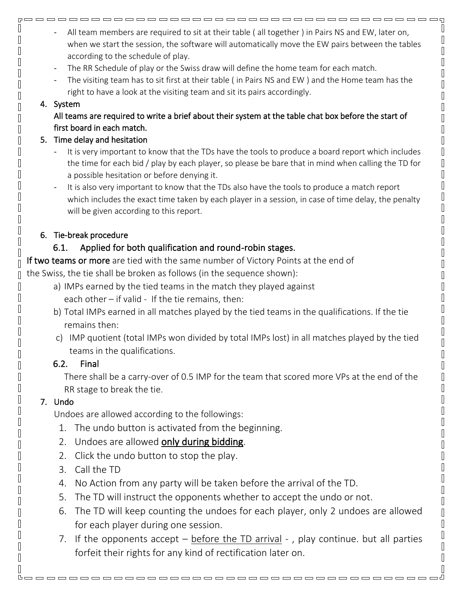- $\overline{5}$ O  $\hfill\Box$  $\sqrt{ }$  $\begin{bmatrix} \phantom{-} \end{bmatrix}$  $[] \centering \includegraphics[width=0.47\textwidth]{images/TrDiag} \caption{The first two different values of the number of~\acp{thm}, with the first two different values of the number of~\acp{thm}, with the second two different values of the number of~\acp{thm}. The second two different values of the number of~\acp{thm}, with the second two different values of the number of~\acp{thm}. } \label{TrDiag}$  $\begin{bmatrix} 1 \\ 2 \end{bmatrix}$  $\begin{bmatrix} 1 \\ 2 \end{bmatrix}$  $\begin{bmatrix} 1 \\ 2 \end{bmatrix}$  $\begin{bmatrix} 1 \\ 2 \end{bmatrix}$  $\sqrt{ }$  $\begin{bmatrix} \end{bmatrix}$  $\hfill\Box$  $\sqrt{ }$  $\begin{bmatrix} 1 \\ 2 \end{bmatrix}$  $\begin{bmatrix} 1 \\ 2 \end{bmatrix}$  $\hfill\Box$  $\begin{bmatrix} \end{bmatrix}$  $\begin{bmatrix} \phantom{-} \end{bmatrix}$  $\hfill\Box$  $\sqrt{ }$ I  $\begin{bmatrix} \phantom{-} \end{bmatrix}$  $\sqrt{ }$  $\begin{bmatrix} 1 \\ 2 \end{bmatrix}$  $\begin{bmatrix} \phantom{-} \end{bmatrix}$  $\hfill\Box$  $\begin{bmatrix} 1 \\ 2 \end{bmatrix}$  $\begin{bmatrix} \phantom{-} \end{bmatrix}$  $\hfill\Box$  $\sqrt{ }$  $\begin{bmatrix} 1 \\ 2 \end{bmatrix}$  $\begin{bmatrix} 1 \\ 2 \end{bmatrix}$  $\hfill\Box$  $\hfill\Box$  $\begin{bmatrix} 1 \\ 2 \end{bmatrix}$  $\begin{bmatrix} \phantom{-} \end{bmatrix}$  $\sqrt{ }$  $\begin{bmatrix} \phantom{-} \end{bmatrix}$  $\begin{bmatrix} \end{bmatrix}$  $[] \centering \includegraphics[width=0.47\textwidth]{images/TrDiM-Architecture.png} \caption{The 3D (top) and 4D (bottom) are shown in the left and right.} \label{TrDiM-Architecture}$  $\begin{bmatrix} \phantom{-} \end{bmatrix}$  $\sqrt{ }$  $\begin{bmatrix} \phantom{-} \end{bmatrix}$  $\begin{bmatrix} 1 \\ 2 \end{bmatrix}$  $\hfill\Box$  $\hfill\Box$  $\begin{bmatrix} \phantom{-} \end{bmatrix}$  $\begin{bmatrix} 1 \\ 2 \end{bmatrix}$
- All team members are required to sit at their table ( all together ) in Pairs NS and EW, later on, when we start the session, the software will automatically move the EW pairs between the tables according to the schedule of play.

- The RR Schedule of play or the Swiss draw will define the home team for each match.
- The visiting team has to sit first at their table ( in Pairs NS and EW) and the Home team has the right to have a look at the visiting team and sit its pairs accordingly.

#### 4. System

 $\Box$ 

 $\mathbb I$ 

 $\mathbb{R}$ 

Π

Π

 $\overline{\mathbb{R}}$ 

 $\mathbb I$ 

 $\mathbb I$ 

 $\mathbb{L}$ 

 $\mathbb{R}$  $\sqrt{2}$ 

 $\Box$ 

 $\begin{bmatrix} 1 \\ 2 \end{bmatrix}$ 

 $\mathbb{R}$ 

 $\mathbb{I}$ 

Π

Π  $\mathbb{I}$ 

Π

 $\mathbb{I}$ 

 $\mathbb{R}$ 

 $\mathbb{R}$  $\mathbb{R}$ 

 $\mathbb{R}$  $\mathbb{R}$ 

 $\mathbb{L}$ 

∏

Π Π

 $\mathbb{I}$  $\mathbb{I}$ 

 $\mathbb{I}$ 

 $\mathbb{R}$ 

 $\mathbb{R}$ 

 $\mathbb I$ 

 $\mathbb I$ 

 $\mathbb I$ 

 $\mathbb{I}$ 

 $\mathbb{I}$ 

 $\mathbb{I}$ 

 $\mathbb I$ 

 $\mathbb I$ 

 $\mathbb I$  $\mathbb{I}$ 

 $\mathbb{I}$ 

 $\mathbb I$  $\begin{bmatrix} 1 \\ 2 \end{bmatrix}$ 

 $\mathbb I$ 

 $\mathbb I$ 

All teams are required to write a brief about their system at the table chat box before the start of first board in each match.

#### 5. Time delay and hesitation

- It is very important to know that the TDs have the tools to produce a board report which includes the time for each bid / play by each player, so please be bare that in mind when calling the TD for a possible hesitation or before denying it.
- It is also very important to know that the TDs also have the tools to produce a match report which includes the exact time taken by each player in a session, in case of time delay, the penalty will be given according to this report.

#### 6. Tie-break procedure

### 6.1. Applied for both qualification and round-robin stages.

If two teams or more are tied with the same number of Victory Points at the end of

the Swiss, the tie shall be broken as follows (in the sequence shown):

- a) IMPs earned by the tied teams in the match they played against each other – if valid - If the tie remains, then:
- b) Total IMPs earned in all matches played by the tied teams in the qualifications. If the tie remains then:
- c) IMP quotient (total IMPs won divided by total IMPs lost) in all matches played by the tied teams in the qualifications.

# 6.2. Final

There shall be a carry-over of 0.5 IMP for the team that scored more VPs at the end of the RR stage to break the tie.

# 7. Undo

Undoes are allowed according to the followings:

- 1. The undo button is activated from the beginning.
- 2. Undoes are allowed only during bidding.
- 2. Click the undo button to stop the play.
- 3. Call the TD
- 4. No Action from any party will be taken before the arrival of the TD.
- 5. The TD will instruct the opponents whether to accept the undo or not.
- 6. The TD will keep counting the undoes for each player, only 2 undoes are allowed for each player during one session.
- 7. If the opponents accept before the TD arrival -, play continue. but all parties forfeit their rights for any kind of rectification later on.

<u>booooooooooooooooooooooooooooooooooo</u>